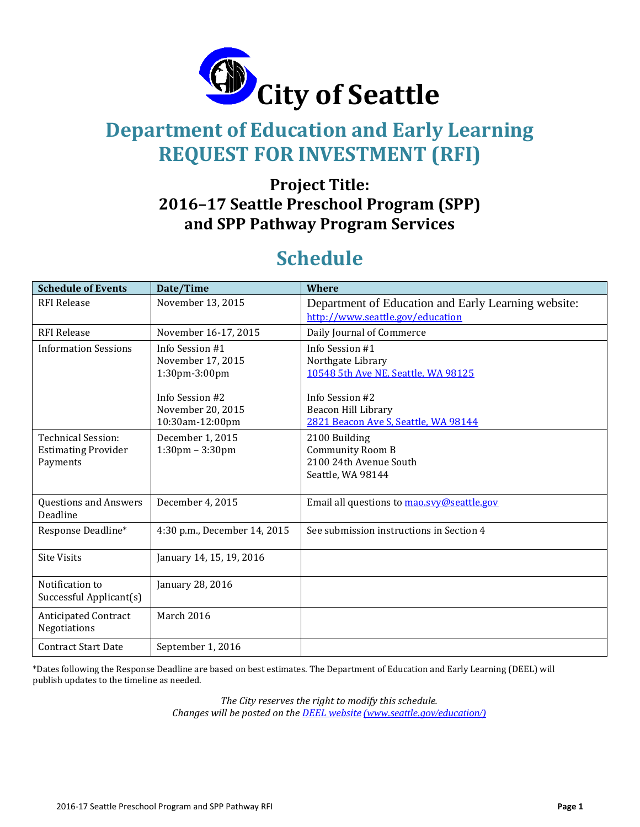

# **Department of Education and Early Learning REQUEST FOR INVESTMENT (RFI)**

## **Project Title: 2016–17 Seattle Preschool Program (SPP) and SPP Pathway Program Services**

# **Schedule**

| <b>Schedule of Events</b>                                    | Date/Time                                               | Where                                                                                   |
|--------------------------------------------------------------|---------------------------------------------------------|-----------------------------------------------------------------------------------------|
| <b>RFI Release</b>                                           | November 13, 2015                                       | Department of Education and Early Learning website:<br>http://www.seattle.gov/education |
| <b>RFI Release</b>                                           | November 16-17, 2015                                    | Daily Journal of Commerce                                                               |
| <b>Information Sessions</b>                                  | Info Session #1<br>November 17, 2015<br>1:30pm-3:00pm   | Info Session #1<br>Northgate Library<br>10548 5th Ave NE, Seattle, WA 98125             |
|                                                              | Info Session #2<br>November 20, 2015<br>10:30am-12:00pm | Info Session #2<br>Beacon Hill Library<br>2821 Beacon Ave S, Seattle, WA 98144          |
| Technical Session:<br><b>Estimating Provider</b><br>Payments | December 1, 2015<br>$1:30$ pm $-3:30$ pm                | 2100 Building<br><b>Community Room B</b><br>2100 24th Avenue South<br>Seattle, WA 98144 |
| <b>Questions and Answers</b><br>Deadline                     | December 4, 2015                                        | Email all questions to mao.svy@seattle.gov                                              |
| Response Deadline*                                           | 4:30 p.m., December 14, 2015                            | See submission instructions in Section 4                                                |
| <b>Site Visits</b>                                           | January 14, 15, 19, 2016                                |                                                                                         |
| Notification to<br>Successful Applicant(s)                   | January 28, 2016                                        |                                                                                         |
| <b>Anticipated Contract</b><br>Negotiations                  | March 2016                                              |                                                                                         |
| <b>Contract Start Date</b>                                   | September 1, 2016                                       |                                                                                         |

\*Dates following the Response Deadline are based on best estimates. The Department of Education and Early Learning (DEEL) will publish updates to the timeline as needed.

> *The City reserves the right to modify this schedule. Changes will be posted on the DEEL [website](http://www.seattle.gov/education) (www.seattle.gov/education/)*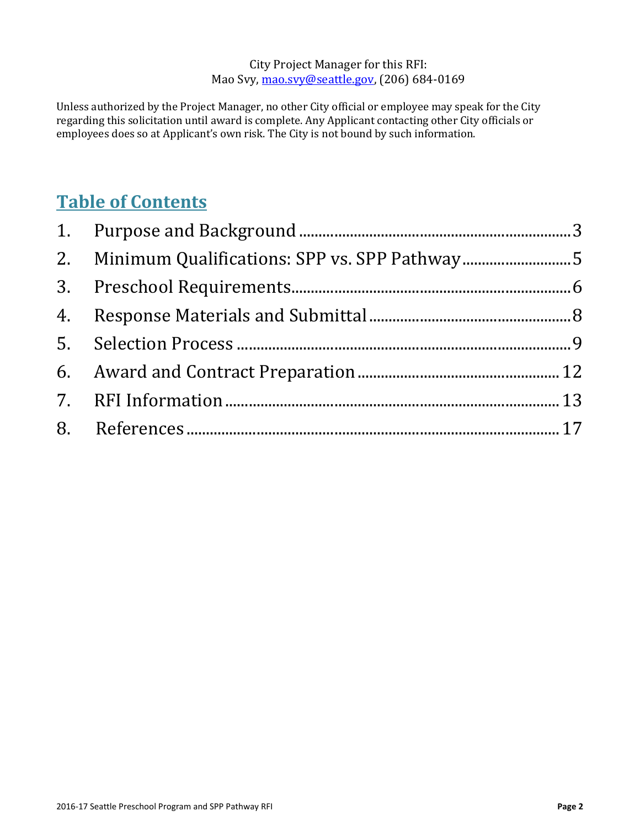#### City Project Manager for this RFI: Mao Svy, [mao.svy@seattle.gov,](mailto:mao.svy@seattle.gov) (206) 684-0169

Unless authorized by the Project Manager, no other City official or employee may speak for the City regarding this solicitation until award is complete. Any Applicant contacting other City officials or employees does so at Applicant's own risk. The City is not bound by such information.

## **Table of Contents**

| 2. Minimum Qualifications: SPP vs. SPP Pathway5 |  |
|-------------------------------------------------|--|
|                                                 |  |
|                                                 |  |
|                                                 |  |
|                                                 |  |
|                                                 |  |
|                                                 |  |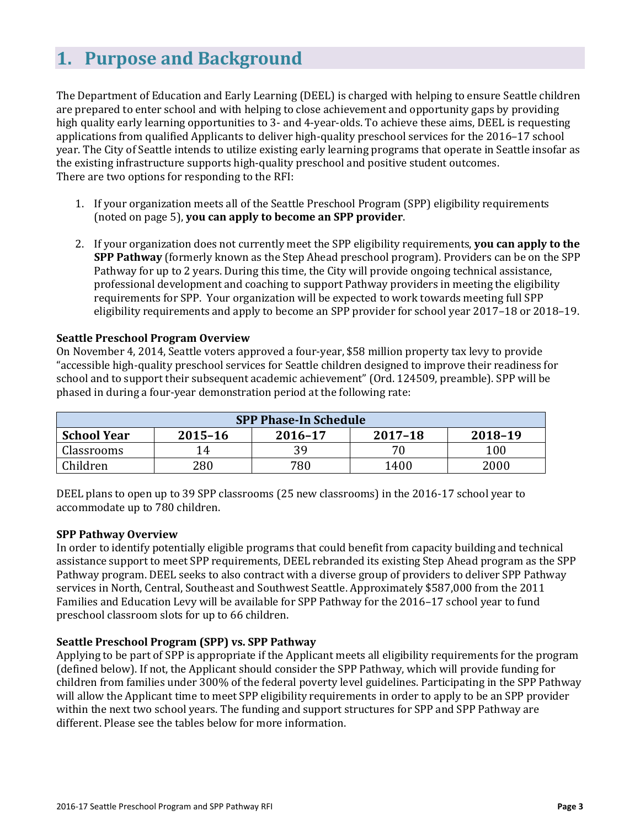## <span id="page-2-0"></span>**1. Purpose and Background**

The Department of Education and Early Learning (DEEL) is charged with helping to ensure Seattle children are prepared to enter school and with helping to close achievement and opportunity gaps by providing high quality early learning opportunities to 3- and 4-year-olds. To achieve these aims, DEEL is requesting applications from qualified Applicants to deliver high-quality preschool services for the 2016–17 school year. The City of Seattle intends to utilize existing early learning programs that operate in Seattle insofar as the existing infrastructure supports high-quality preschool and positive student outcomes. There are two options for responding to the RFI:

- 1. If your organization meets all of the Seattle Preschool Program (SPP) eligibility requirements (noted on page 5), **you can apply to become an SPP provider**.
- 2. If your organization does not currently meet the SPP eligibility requirements, **you can apply to the SPP Pathway** (formerly known as the Step Ahead preschool program). Providers can be on the SPP Pathway for up to 2 years. During this time, the City will provide ongoing technical assistance, professional development and coaching to support Pathway providers in meeting the eligibility requirements for SPP. Your organization will be expected to work towards meeting full SPP eligibility requirements and apply to become an SPP provider for school year 2017–18 or 2018–19.

#### **Seattle Preschool Program Overview**

On November 4, 2014, Seattle voters approved a four-year, \$58 million property tax levy to provide "accessible high-quality preschool services for Seattle children designed to improve their readiness for school and to support their subsequent academic achievement" (Ord. 124509, preamble). SPP will be phased in during a four-year demonstration period at the following rate:

| <b>SPP Phase-In Schedule</b>                                           |     |     |      |      |  |
|------------------------------------------------------------------------|-----|-----|------|------|--|
| <b>School Year</b><br>$2017 - 18$<br>$2015 - 16$<br>2016-17<br>2018-19 |     |     |      |      |  |
| Classrooms                                                             | 14  | 39. | 70   | 100  |  |
| Children                                                               | 280 | 780 | 1400 | 2000 |  |

DEEL plans to open up to 39 SPP classrooms (25 new classrooms) in the 2016-17 school year to accommodate up to 780 children.

#### **SPP Pathway Overview**

In order to identify potentially eligible programs that could benefit from capacity building and technical assistance support to meet SPP requirements, DEEL rebranded its existing Step Ahead program as the SPP Pathway program. DEEL seeks to also contract with a diverse group of providers to deliver SPP Pathway services in North, Central, Southeast and Southwest Seattle. Approximately \$587,000 from the 2011 Families and Education Levy will be available for SPP Pathway for the 2016–17 school year to fund preschool classroom slots for up to 66 children.

#### **Seattle Preschool Program (SPP) vs. SPP Pathway**

Applying to be part of SPP is appropriate if the Applicant meets all eligibility requirements for the program (defined below). If not, the Applicant should consider the SPP Pathway, which will provide funding for children from families under 300% of the federal poverty level guidelines. Participating in the SPP Pathway will allow the Applicant time to meet SPP eligibility requirements in order to apply to be an SPP provider within the next two school years. The funding and support structures for SPP and SPP Pathway are different. Please see the tables below for more information.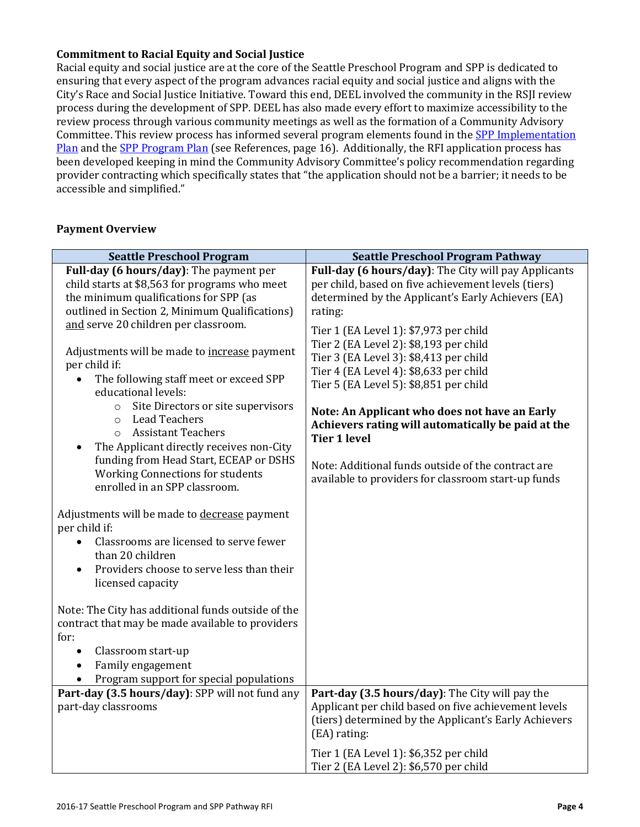#### **Commitment to Racial Equity and Social Justice**

Racial equity and social justice are at the core of the Seattle Preschool Program and SPP is dedicated to ensuring that every aspect of the program advances racial equity and social justice and aligns with the City's Race and Social Justice Initiative. Toward this end, DEEL involved the community in the RSJI review process during the development of SPP. DEEL has also made every effort to maximize accessibility to the review process through various community meetings as well as the formation of a Community Advisory Committee. This review process has informed several program elements found in the [SPP Implementation](http://www.seattle.gov/Documents/Departments/OFE/AboutTheLevy/EarlyLearning/SPPImplementationPlan_April1_PostCommittee.pdf)  [Plan](http://www.seattle.gov/Documents/Departments/OFE/AboutTheLevy/EarlyLearning/SPPImplementationPlan_April1_PostCommittee.pdf) and the [SPP Program Plan](http://www.seattle.gov/Documents/Departments/OFE/AboutTheLevy/EarlyLearning/DRAFTSPPProgramPlan.pdf) (see References, page 16). Additionally, the RFI application process has been developed keeping in mind the Community Advisory Committee's policy recommendation regarding provider contracting which specifically states that "the application should not be a barrier; it needs to be accessible and simplified."

#### **Payment Overview**

| <b>Seattle Preschool Program</b>                                                                                                                                                                                                                                                                                                                                                                                                                                                                                                                                                                                                                                                 | <b>Seattle Preschool Program Pathway</b>                                                                                                                                                                                                                                                                                                                                                                                                                                                                                                                                                                                                  |
|----------------------------------------------------------------------------------------------------------------------------------------------------------------------------------------------------------------------------------------------------------------------------------------------------------------------------------------------------------------------------------------------------------------------------------------------------------------------------------------------------------------------------------------------------------------------------------------------------------------------------------------------------------------------------------|-------------------------------------------------------------------------------------------------------------------------------------------------------------------------------------------------------------------------------------------------------------------------------------------------------------------------------------------------------------------------------------------------------------------------------------------------------------------------------------------------------------------------------------------------------------------------------------------------------------------------------------------|
| Full-day (6 hours/day): The payment per<br>child starts at \$8,563 for programs who meet<br>the minimum qualifications for SPP (as<br>outlined in Section 2, Minimum Qualifications)<br>and serve 20 children per classroom.<br>Adjustments will be made to <i>increase</i> payment<br>per child if:<br>The following staff meet or exceed SPP<br>educational levels:<br>Site Directors or site supervisors<br>$\circ$<br><b>Lead Teachers</b><br>$\circ$<br><b>Assistant Teachers</b><br>$\circ$<br>The Applicant directly receives non-City<br>$\bullet$<br>funding from Head Start, ECEAP or DSHS<br><b>Working Connections for students</b><br>enrolled in an SPP classroom. | Full-day (6 hours/day): The City will pay Applicants<br>per child, based on five achievement levels (tiers)<br>determined by the Applicant's Early Achievers (EA)<br>rating:<br>Tier 1 (EA Level 1): \$7,973 per child<br>Tier 2 (EA Level 2): \$8,193 per child<br>Tier 3 (EA Level 3): \$8,413 per child<br>Tier 4 (EA Level 4): \$8,633 per child<br>Tier 5 (EA Level 5): \$8,851 per child<br>Note: An Applicant who does not have an Early<br>Achievers rating will automatically be paid at the<br><b>Tier 1 level</b><br>Note: Additional funds outside of the contract are<br>available to providers for classroom start-up funds |
| Adjustments will be made to decrease payment<br>per child if:<br>Classrooms are licensed to serve fewer<br>$\bullet$<br>than 20 children<br>Providers choose to serve less than their<br>licensed capacity                                                                                                                                                                                                                                                                                                                                                                                                                                                                       |                                                                                                                                                                                                                                                                                                                                                                                                                                                                                                                                                                                                                                           |
| Note: The City has additional funds outside of the<br>contract that may be made available to providers<br>for:<br>Classroom start-up<br>$\bullet$<br>Family engagement<br>Program support for special populations                                                                                                                                                                                                                                                                                                                                                                                                                                                                |                                                                                                                                                                                                                                                                                                                                                                                                                                                                                                                                                                                                                                           |
| Part-day (3.5 hours/day): SPP will not fund any<br>part-day classrooms                                                                                                                                                                                                                                                                                                                                                                                                                                                                                                                                                                                                           | Part-day (3.5 hours/day): The City will pay the<br>Applicant per child based on five achievement levels<br>(tiers) determined by the Applicant's Early Achievers<br>(EA) rating:                                                                                                                                                                                                                                                                                                                                                                                                                                                          |
|                                                                                                                                                                                                                                                                                                                                                                                                                                                                                                                                                                                                                                                                                  | Tier 1 (EA Level 1): \$6,352 per child<br>Tier 2 (EA Level 2): \$6,570 per child                                                                                                                                                                                                                                                                                                                                                                                                                                                                                                                                                          |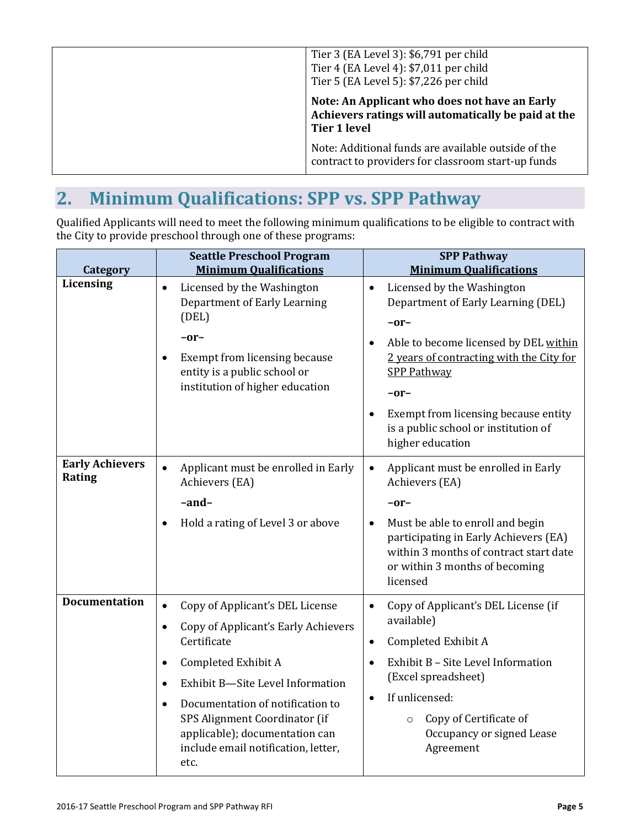| Tier 3 (EA Level 3): \$6,791 per child<br>Tier 4 (EA Level 4): \$7,011 per child<br>Tier 5 (EA Level 5): \$7,226 per child  |
|-----------------------------------------------------------------------------------------------------------------------------|
| Note: An Applicant who does not have an Early<br>Achievers ratings will automatically be paid at the<br><b>Tier 1 level</b> |
| Note: Additional funds are available outside of the<br>contract to providers for classroom start-up funds                   |

# <span id="page-4-0"></span>**2. Minimum Qualifications: SPP vs. SPP Pathway**

Qualified Applicants will need to meet the following minimum qualifications to be eligible to contract with the City to provide preschool through one of these programs:

| Category                                | <b>Seattle Preschool Program</b><br><b>Minimum Qualifications</b>                                                                                                                                                                                                                                                                                                       | <b>SPP Pathway</b><br><b>Minimum Qualifications</b>                                                                                                                                                                                                                                                                                        |  |
|-----------------------------------------|-------------------------------------------------------------------------------------------------------------------------------------------------------------------------------------------------------------------------------------------------------------------------------------------------------------------------------------------------------------------------|--------------------------------------------------------------------------------------------------------------------------------------------------------------------------------------------------------------------------------------------------------------------------------------------------------------------------------------------|--|
| <b>Licensing</b>                        | Licensed by the Washington<br>$\bullet$<br>Department of Early Learning<br>(DEL)<br>$-0r-$<br>Exempt from licensing because<br>$\bullet$<br>entity is a public school or<br>institution of higher education                                                                                                                                                             | Licensed by the Washington<br>$\bullet$<br>Department of Early Learning (DEL)<br>$-0r-$<br>Able to become licensed by DEL within<br>$\bullet$<br>2 years of contracting with the City for<br><b>SPP Pathway</b><br>$-0r-$<br>Exempt from licensing because entity<br>$\bullet$<br>is a public school or institution of<br>higher education |  |
| <b>Early Achievers</b><br><b>Rating</b> | Applicant must be enrolled in Early<br>$\bullet$<br>Achievers (EA)<br>-and-<br>Hold a rating of Level 3 or above                                                                                                                                                                                                                                                        | Applicant must be enrolled in Early<br>$\bullet$<br>Achievers (EA)<br>$-0r-$<br>Must be able to enroll and begin<br>$\bullet$<br>participating in Early Achievers (EA)<br>within 3 months of contract start date<br>or within 3 months of becoming<br>licensed                                                                             |  |
| <b>Documentation</b>                    | Copy of Applicant's DEL License<br>$\bullet$<br>Copy of Applicant's Early Achievers<br>$\bullet$<br>Certificate<br>Completed Exhibit A<br>$\bullet$<br>Exhibit B-Site Level Information<br>$\bullet$<br>Documentation of notification to<br>$\bullet$<br>SPS Alignment Coordinator (if<br>applicable); documentation can<br>include email notification, letter,<br>etc. | Copy of Applicant's DEL License (if<br>$\bullet$<br>available)<br>Completed Exhibit A<br>$\bullet$<br>Exhibit B - Site Level Information<br>$\bullet$<br>(Excel spreadsheet)<br>If unlicensed:<br>$\bullet$<br>Copy of Certificate of<br>$\circ$<br>Occupancy or signed Lease<br>Agreement                                                 |  |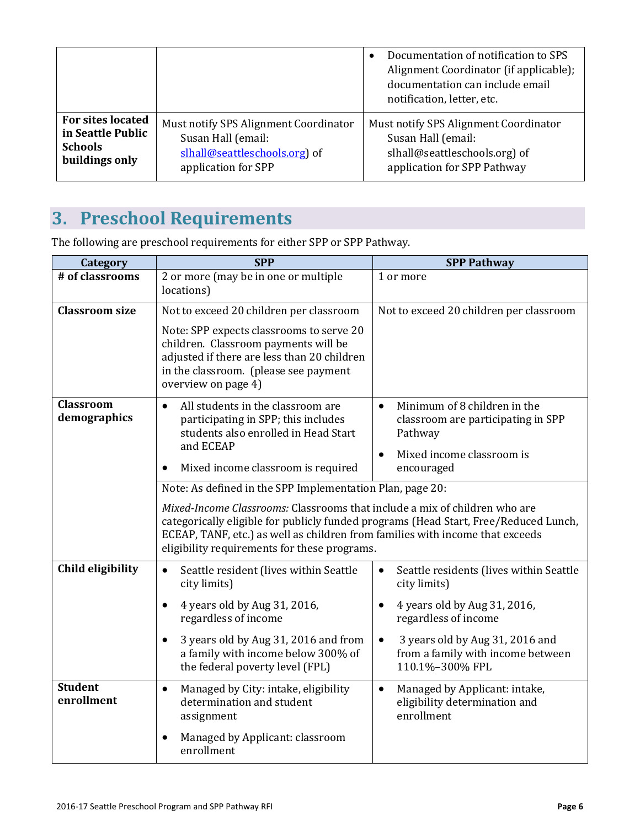|                          |                                       | Documentation of notification to SPS<br>$\bullet$<br>Alignment Coordinator (if applicable);<br>documentation can include email<br>notification, letter, etc. |
|--------------------------|---------------------------------------|--------------------------------------------------------------------------------------------------------------------------------------------------------------|
| <b>For sites located</b> | Must notify SPS Alignment Coordinator | Must notify SPS Alignment Coordinator                                                                                                                        |
| in Seattle Public        | Susan Hall (email:                    | Susan Hall (email:                                                                                                                                           |
| <b>Schools</b>           | slhall@seattleschools.org) of         | slhall@seattleschools.org) of                                                                                                                                |
| buildings only           | application for SPP                   | application for SPP Pathway                                                                                                                                  |

# <span id="page-5-0"></span>**3. Preschool Requirements**

The following are preschool requirements for either SPP or SPP Pathway.

| Category                         | <b>SPP</b>                                                                                                                                                                                                                                                                                          | <b>SPP Pathway</b>                                                                                   |  |
|----------------------------------|-----------------------------------------------------------------------------------------------------------------------------------------------------------------------------------------------------------------------------------------------------------------------------------------------------|------------------------------------------------------------------------------------------------------|--|
| # of classrooms                  | 2 or more (may be in one or multiple<br>locations)                                                                                                                                                                                                                                                  | 1 or more                                                                                            |  |
| <b>Classroom size</b>            | Not to exceed 20 children per classroom                                                                                                                                                                                                                                                             | Not to exceed 20 children per classroom                                                              |  |
|                                  | Note: SPP expects classrooms to serve 20<br>children. Classroom payments will be<br>adjusted if there are less than 20 children<br>in the classroom. (please see payment<br>overview on page 4)                                                                                                     |                                                                                                      |  |
| <b>Classroom</b><br>demographics | All students in the classroom are<br>$\bullet$<br>participating in SPP; this includes<br>students also enrolled in Head Start<br>and ECEAP                                                                                                                                                          | Minimum of 8 children in the<br>$\bullet$<br>classroom are participating in SPP<br>Pathway           |  |
|                                  | Mixed income classroom is required                                                                                                                                                                                                                                                                  | Mixed income classroom is<br>$\bullet$<br>encouraged                                                 |  |
|                                  | Note: As defined in the SPP Implementation Plan, page 20:                                                                                                                                                                                                                                           |                                                                                                      |  |
|                                  | Mixed-Income Classrooms: Classrooms that include a mix of children who are<br>categorically eligible for publicly funded programs (Head Start, Free/Reduced Lunch,<br>ECEAP, TANF, etc.) as well as children from families with income that exceeds<br>eligibility requirements for these programs. |                                                                                                      |  |
| <b>Child eligibility</b>         | Seattle resident (lives within Seattle<br>$\bullet$<br>city limits)                                                                                                                                                                                                                                 | Seattle residents (lives within Seattle<br>$\bullet$<br>city limits)                                 |  |
|                                  | 4 years old by Aug 31, 2016,<br>$\bullet$<br>regardless of income                                                                                                                                                                                                                                   | 4 years old by Aug 31, 2016,<br>$\bullet$<br>regardless of income                                    |  |
|                                  | 3 years old by Aug 31, 2016 and from<br>$\bullet$<br>a family with income below 300% of<br>the federal poverty level (FPL)                                                                                                                                                                          | 3 years old by Aug 31, 2016 and<br>$\bullet$<br>from a family with income between<br>110.1%-300% FPL |  |
| <b>Student</b><br>enrollment     | Managed by City: intake, eligibility<br>$\bullet$<br>determination and student<br>assignment                                                                                                                                                                                                        | Managed by Applicant: intake,<br>$\bullet$<br>eligibility determination and<br>enrollment            |  |
|                                  | Managed by Applicant: classroom<br>enrollment                                                                                                                                                                                                                                                       |                                                                                                      |  |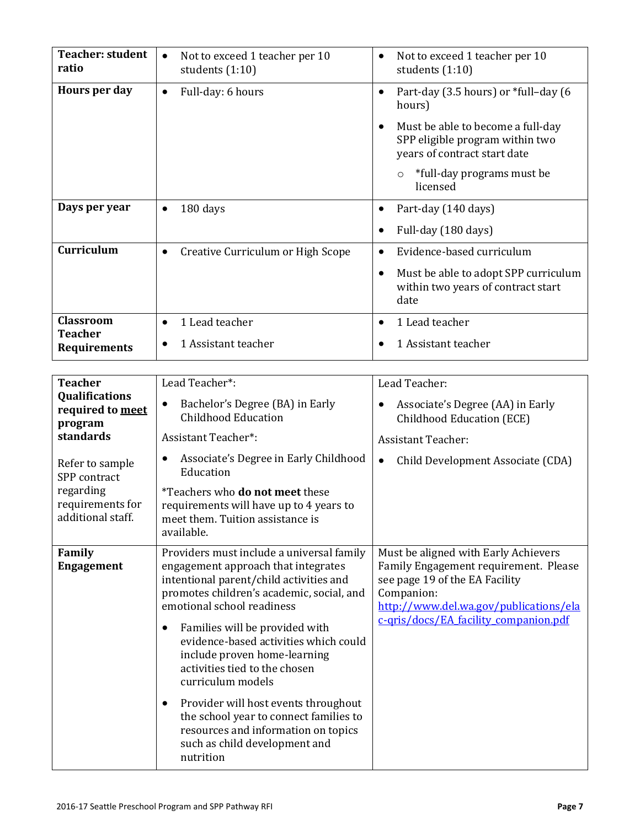| <b>Teacher: student</b><br>ratio                   | Not to exceed 1 teacher per 10<br>students $(1:10)$                                                                                                                                                    | Not to exceed 1 teacher per 10<br>٠<br>students $(1:10)$                                                                                                                |
|----------------------------------------------------|--------------------------------------------------------------------------------------------------------------------------------------------------------------------------------------------------------|-------------------------------------------------------------------------------------------------------------------------------------------------------------------------|
| Hours per day                                      | Full-day: 6 hours<br>$\bullet$                                                                                                                                                                         | Part-day (3.5 hours) or *full-day (6<br>$\bullet$<br>hours)                                                                                                             |
|                                                    |                                                                                                                                                                                                        | Must be able to become a full-day<br>$\bullet$<br>SPP eligible program within two<br>years of contract start date                                                       |
|                                                    |                                                                                                                                                                                                        | *full-day programs must be<br>$\circ$<br>licensed                                                                                                                       |
| Days per year                                      | 180 days<br>$\bullet$                                                                                                                                                                                  | Part-day (140 days)<br>$\bullet$                                                                                                                                        |
|                                                    |                                                                                                                                                                                                        | Full-day (180 days)                                                                                                                                                     |
| Curriculum                                         | Creative Curriculum or High Scope<br>$\bullet$                                                                                                                                                         | Evidence-based curriculum<br>$\bullet$                                                                                                                                  |
|                                                    |                                                                                                                                                                                                        | Must be able to adopt SPP curriculum<br>٠<br>within two years of contract start<br>date                                                                                 |
| <b>Classroom</b>                                   | 1 Lead teacher<br>$\bullet$                                                                                                                                                                            | 1 Lead teacher<br>$\bullet$                                                                                                                                             |
| <b>Teacher</b><br><b>Requirements</b>              | 1 Assistant teacher                                                                                                                                                                                    | 1 Assistant teacher                                                                                                                                                     |
|                                                    |                                                                                                                                                                                                        |                                                                                                                                                                         |
| <b>Teacher</b><br>Qualifications                   | Lead Teacher*:                                                                                                                                                                                         | Lead Teacher:                                                                                                                                                           |
| required to meet<br>program                        | Bachelor's Degree (BA) in Early<br>٠<br><b>Childhood Education</b>                                                                                                                                     | Associate's Degree (AA) in Early<br>Childhood Education (ECE)                                                                                                           |
| standards                                          | <b>Assistant Teacher*:</b>                                                                                                                                                                             | <b>Assistant Teacher:</b>                                                                                                                                               |
| Refer to sample<br>SPP contract                    | Associate's Degree in Early Childhood<br>Education                                                                                                                                                     | Child Development Associate (CDA)<br>$\bullet$                                                                                                                          |
| regarding<br>requirements for<br>additional staff. | <i>*Teachers who do not meet these</i><br>requirements will have up to 4 years to<br>meet them. Tuition assistance is<br>available.                                                                    |                                                                                                                                                                         |
| Family<br><b>Engagement</b>                        | Providers must include a universal family<br>engagement approach that integrates<br>intentional parent/child activities and<br>promotes children's academic, social, and<br>emotional school readiness | Must be aligned with Early Achievers<br>Family Engagement requirement. Please<br>see page 19 of the EA Facility<br>Companion:<br>http://www.del.wa.gov/publications/ela |
|                                                    | Families will be provided with<br>٠<br>evidence-based activities which could<br>include proven home-learning<br>activities tied to the chosen<br>curriculum models                                     | c-gris/docs/EA facility companion.pdf                                                                                                                                   |
|                                                    | Provider will host events throughout<br>٠<br>the school year to connect families to<br>resources and information on topics<br>such as child development and<br>nutrition                               |                                                                                                                                                                         |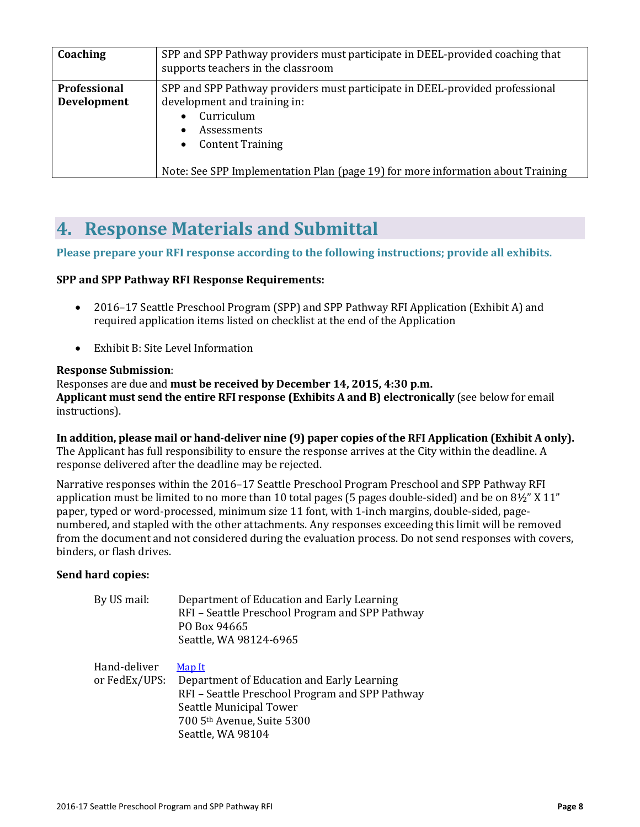| Coaching           | SPP and SPP Pathway providers must participate in DEEL-provided coaching that<br>supports teachers in the classroom                                                                         |  |
|--------------------|---------------------------------------------------------------------------------------------------------------------------------------------------------------------------------------------|--|
| Professional       | SPP and SPP Pathway providers must participate in DEEL-provided professional                                                                                                                |  |
| <b>Development</b> | development and training in:<br>Curriculum<br><b>Assessments</b><br><b>Content Training</b><br>$\bullet$<br>Note: See SPP Implementation Plan (page 19) for more information about Training |  |

## <span id="page-7-0"></span>**4. Response Materials and Submittal**

#### **Please prepare your RFI response according to the following instructions; provide all exhibits.**

#### **SPP and SPP Pathway RFI Response Requirements:**

- 2016–17 Seattle Preschool Program (SPP) and SPP Pathway RFI Application (Exhibit A) and required application items listed on checklist at the end of the Application
- Exhibit B: Site Level Information

#### **Response Submission**:

Responses are due and **must be received by December 14, 2015, 4:30 p.m. Applicant must send the entire RFI response (Exhibits A and B) electronically** (see below for email instructions).

**In addition, please mail or hand-deliver nine (9) paper copies of the RFI Application (Exhibit A only).**  The Applicant has full responsibility to ensure the response arrives at the City within the deadline. A response delivered after the deadline may be rejected.

Narrative responses within the 2016–17 Seattle Preschool Program Preschool and SPP Pathway RFI application must be limited to no more than 10 total pages (5 pages double-sided) and be on  $8\frac{1}{2}$ " X 11" paper, typed or word-processed, minimum size 11 font, with 1-inch margins, double-sided, pagenumbered, and stapled with the other attachments. Any responses exceeding this limit will be removed from the document and not considered during the evaluation process. Do not send responses with covers, binders, or flash drives.

#### **Send hard copies:**

| By US mail: | Department of Education and Early Learning      |
|-------------|-------------------------------------------------|
|             | RFI – Seattle Preschool Program and SPP Pathway |
|             | PO Box 94665                                    |
|             | Seattle, WA 98124-6965                          |

Hand-deliver [Map It](https://maps.google.com/maps?f=q&source=s_q&hl=en&geocode=&q=Seattle+Municipal+Tower,+700+5th+Ave,+Seattle,+WA+98104&aq=&sll=47.613028,-122.342064&sspn=0.386977,0.891953&vpsrc=0&ie=UTF8&hq=Seattle+Municipal+Tower,+700+5th+Ave,+Seattle,+WA+98104&hnear=&radius=15000&t=m&z=13) or FedEx/UPS: Department of Education and Early Learning RFI – Seattle Preschool Program and SPP Pathway Seattle Municipal Tower 700 5th Avenue, Suite 5300 Seattle, WA 98104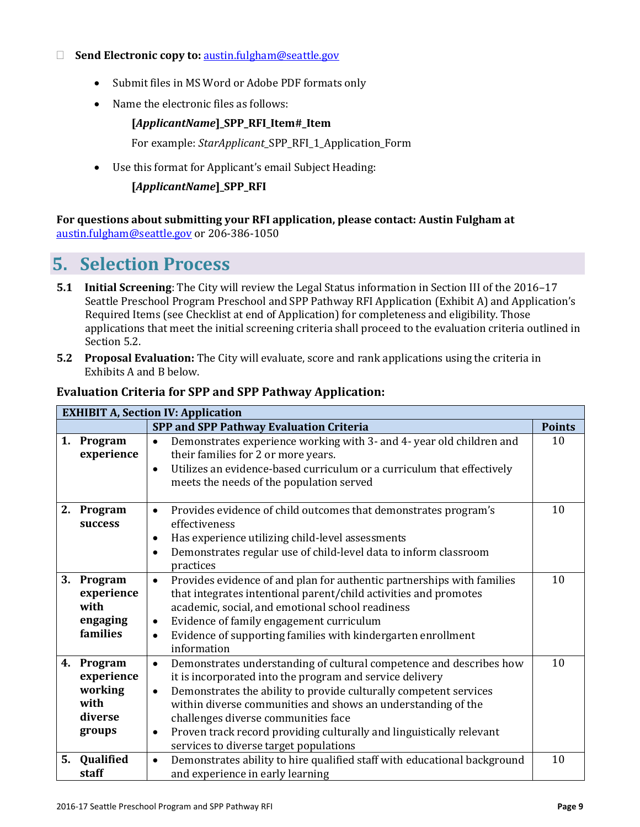#### **Send Electronic copy to:** austin.fulgham@seattle.gov

- Submit files in MS Word or Adobe PDF formats only
- Name the electronic files as follows:

#### **[***ApplicantName***]\_SPP\_RFI\_Item#\_Item**

For example: *StarApplicant*\_SPP\_RFI\_1\_Application\_Form

Use this format for Applicant's email Subject Heading:

#### **[***ApplicantName***]\_SPP\_RFI**

**For questions about submitting your RFI application, please contact: Austin Fulgham at** [austin.fulgham@seattle.gov](mailto:kathryn.doll@seattle.gov) or 206-386-1050

### <span id="page-8-0"></span>**5. Selection Process**

- **5.1 Initial Screening**: The City will review the Legal Status information in Section III of the 2016–17 Seattle Preschool Program Preschool and SPP Pathway RFI Application (Exhibit A) and Application's Required Items (see Checklist at end of Application) for completeness and eligibility. Those applications that meet the initial screening criteria shall proceed to the evaluation criteria outlined in Section 5.2.
- **5.2 Proposal Evaluation:** The City will evaluate, score and rank applications using the criteria in Exhibits A and B below.

| <b>EXHIBIT A, Section IV: Application</b> |                                                               |                                                                                                                                                                                                                                                                                                                                                                                                                                                                      |               |  |
|-------------------------------------------|---------------------------------------------------------------|----------------------------------------------------------------------------------------------------------------------------------------------------------------------------------------------------------------------------------------------------------------------------------------------------------------------------------------------------------------------------------------------------------------------------------------------------------------------|---------------|--|
|                                           |                                                               | <b>SPP and SPP Pathway Evaluation Criteria</b>                                                                                                                                                                                                                                                                                                                                                                                                                       | <b>Points</b> |  |
|                                           | 1. Program<br>experience                                      | Demonstrates experience working with 3- and 4- year old children and<br>$\bullet$<br>their families for 2 or more years.<br>Utilizes an evidence-based curriculum or a curriculum that effectively<br>$\bullet$<br>meets the needs of the population served                                                                                                                                                                                                          | 10            |  |
|                                           | 2. Program<br>success                                         | Provides evidence of child outcomes that demonstrates program's<br>$\bullet$<br>effectiveness<br>Has experience utilizing child-level assessments<br>$\bullet$<br>Demonstrates regular use of child-level data to inform classroom<br>$\bullet$<br>practices                                                                                                                                                                                                         | 10            |  |
|                                           | 3. Program<br>experience<br>with<br>engaging<br>families      | Provides evidence of and plan for authentic partnerships with families<br>$\bullet$<br>that integrates intentional parent/child activities and promotes<br>academic, social, and emotional school readiness<br>Evidence of family engagement curriculum<br>٠<br>Evidence of supporting families with kindergarten enrollment<br>$\bullet$<br>information                                                                                                             | 10            |  |
| 4.                                        | Program<br>experience<br>working<br>with<br>diverse<br>groups | Demonstrates understanding of cultural competence and describes how<br>$\bullet$<br>it is incorporated into the program and service delivery<br>Demonstrates the ability to provide culturally competent services<br>$\bullet$<br>within diverse communities and shows an understanding of the<br>challenges diverse communities face<br>Proven track record providing culturally and linguistically relevant<br>$\bullet$<br>services to diverse target populations | 10            |  |
| 5.                                        | Qualified<br>staff                                            | Demonstrates ability to hire qualified staff with educational background<br>$\bullet$<br>and experience in early learning                                                                                                                                                                                                                                                                                                                                            | 10            |  |

#### **Evaluation Criteria for SPP and SPP Pathway Application:**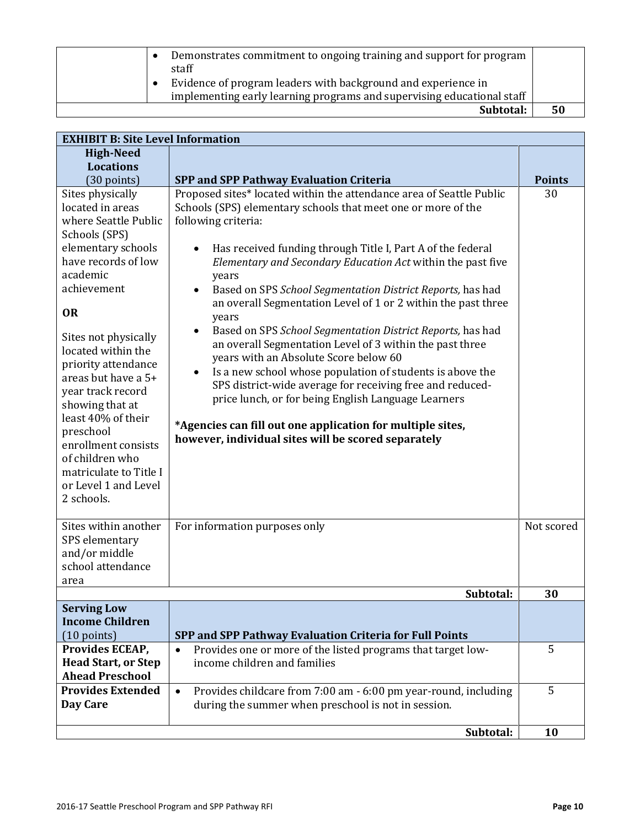| Demonstrates commitment to ongoing training and support for program<br>staff<br>Evidence of program leaders with background and experience in<br>implementing early learning programs and supervising educational staff |           |    |
|-------------------------------------------------------------------------------------------------------------------------------------------------------------------------------------------------------------------------|-----------|----|
|                                                                                                                                                                                                                         | Subtotal: | 50 |

| <b>EXHIBIT B: Site Level Information</b>                                                                                                                                                                                                                                                                                                                                                                                                            |                                                                                                                                                                                                                                                                                                                                                                                                                                                                                                                                                                                                                                                                                                                                                                                                                                                                                                                      |                  |  |  |
|-----------------------------------------------------------------------------------------------------------------------------------------------------------------------------------------------------------------------------------------------------------------------------------------------------------------------------------------------------------------------------------------------------------------------------------------------------|----------------------------------------------------------------------------------------------------------------------------------------------------------------------------------------------------------------------------------------------------------------------------------------------------------------------------------------------------------------------------------------------------------------------------------------------------------------------------------------------------------------------------------------------------------------------------------------------------------------------------------------------------------------------------------------------------------------------------------------------------------------------------------------------------------------------------------------------------------------------------------------------------------------------|------------------|--|--|
| <b>High-Need</b>                                                                                                                                                                                                                                                                                                                                                                                                                                    |                                                                                                                                                                                                                                                                                                                                                                                                                                                                                                                                                                                                                                                                                                                                                                                                                                                                                                                      |                  |  |  |
| <b>Locations</b>                                                                                                                                                                                                                                                                                                                                                                                                                                    |                                                                                                                                                                                                                                                                                                                                                                                                                                                                                                                                                                                                                                                                                                                                                                                                                                                                                                                      |                  |  |  |
| $(30$ points)                                                                                                                                                                                                                                                                                                                                                                                                                                       | <b>SPP and SPP Pathway Evaluation Criteria</b>                                                                                                                                                                                                                                                                                                                                                                                                                                                                                                                                                                                                                                                                                                                                                                                                                                                                       | <b>Points</b>    |  |  |
| Sites physically<br>located in areas<br>where Seattle Public<br>Schools (SPS)<br>elementary schools<br>have records of low<br>academic<br>achievement<br><b>OR</b><br>Sites not physically<br>located within the<br>priority attendance<br>areas but have a 5+<br>year track record<br>showing that at<br>least 40% of their<br>preschool<br>enrollment consists<br>of children who<br>matriculate to Title I<br>or Level 1 and Level<br>2 schools. | Proposed sites* located within the attendance area of Seattle Public<br>Schools (SPS) elementary schools that meet one or more of the<br>following criteria:<br>Has received funding through Title I, Part A of the federal<br>Elementary and Secondary Education Act within the past five<br>years<br>Based on SPS School Segmentation District Reports, has had<br>an overall Segmentation Level of 1 or 2 within the past three<br>years<br>Based on SPS School Segmentation District Reports, has had<br>an overall Segmentation Level of 3 within the past three<br>years with an Absolute Score below 60<br>Is a new school whose population of students is above the<br>SPS district-wide average for receiving free and reduced-<br>price lunch, or for being English Language Learners<br>*Agencies can fill out one application for multiple sites,<br>however, individual sites will be scored separately | 30<br>Not scored |  |  |
| Sites within another<br>SPS elementary<br>and/or middle<br>school attendance<br>area                                                                                                                                                                                                                                                                                                                                                                | For information purposes only                                                                                                                                                                                                                                                                                                                                                                                                                                                                                                                                                                                                                                                                                                                                                                                                                                                                                        |                  |  |  |
| <b>Serving Low</b>                                                                                                                                                                                                                                                                                                                                                                                                                                  | Subtotal:                                                                                                                                                                                                                                                                                                                                                                                                                                                                                                                                                                                                                                                                                                                                                                                                                                                                                                            | 30               |  |  |
| <b>Income Children</b><br>$(10 \text{ points})$                                                                                                                                                                                                                                                                                                                                                                                                     | SPP and SPP Pathway Evaluation Criteria for Full Points                                                                                                                                                                                                                                                                                                                                                                                                                                                                                                                                                                                                                                                                                                                                                                                                                                                              |                  |  |  |
| Provides ECEAP,<br><b>Head Start, or Step</b><br><b>Ahead Preschool</b>                                                                                                                                                                                                                                                                                                                                                                             | Provides one or more of the listed programs that target low-<br>$\bullet$<br>income children and families                                                                                                                                                                                                                                                                                                                                                                                                                                                                                                                                                                                                                                                                                                                                                                                                            |                  |  |  |
| <b>Provides Extended</b><br>Day Care                                                                                                                                                                                                                                                                                                                                                                                                                | Provides childcare from 7:00 am - 6:00 pm year-round, including<br>$\bullet$<br>during the summer when preschool is not in session.                                                                                                                                                                                                                                                                                                                                                                                                                                                                                                                                                                                                                                                                                                                                                                                  | 5                |  |  |
|                                                                                                                                                                                                                                                                                                                                                                                                                                                     | Subtotal:                                                                                                                                                                                                                                                                                                                                                                                                                                                                                                                                                                                                                                                                                                                                                                                                                                                                                                            | 10               |  |  |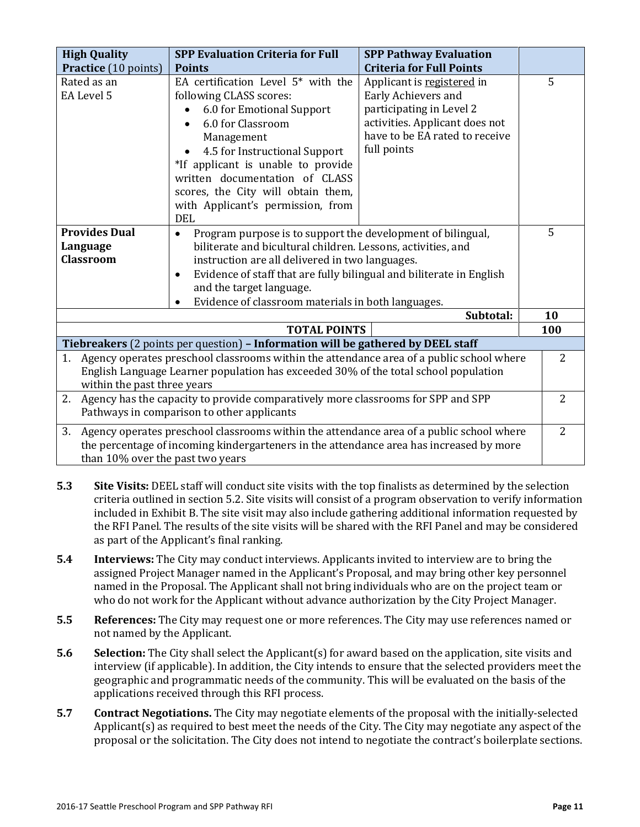| <b>High Quality</b>                                                                                                                                                                                                        |                      | <b>SPP Evaluation Criteria for Full</b>                                                                                                                                                                                                                                                                                                                                         | <b>SPP Pathway Evaluation</b>                                                                                                                                    |    |
|----------------------------------------------------------------------------------------------------------------------------------------------------------------------------------------------------------------------------|----------------------|---------------------------------------------------------------------------------------------------------------------------------------------------------------------------------------------------------------------------------------------------------------------------------------------------------------------------------------------------------------------------------|------------------------------------------------------------------------------------------------------------------------------------------------------------------|----|
|                                                                                                                                                                                                                            | Practice (10 points) | <b>Points</b>                                                                                                                                                                                                                                                                                                                                                                   | <b>Criteria for Full Points</b>                                                                                                                                  |    |
| Rated as an<br>EA Level 5                                                                                                                                                                                                  |                      | EA certification Level $5*$ with the<br>following CLASS scores:<br>6.0 for Emotional Support<br>6.0 for Classroom<br>Management<br>4.5 for Instructional Support<br>*If applicant is unable to provide<br>written documentation of CLASS<br>scores, the City will obtain them,<br>with Applicant's permission, from<br><b>DEL</b>                                               | Applicant is registered in<br>Early Achievers and<br>participating in Level 2<br>activities. Applicant does not<br>have to be EA rated to receive<br>full points | 5  |
| <b>Provides Dual</b><br>Language<br><b>Classroom</b>                                                                                                                                                                       |                      | Program purpose is to support the development of bilingual,<br>$\bullet$<br>biliterate and bicultural children. Lessons, activities, and<br>instruction are all delivered in two languages.<br>Evidence of staff that are fully bilingual and biliterate in English<br>$\bullet$<br>and the target language.<br>Evidence of classroom materials in both languages.<br>$\bullet$ |                                                                                                                                                                  | 5  |
|                                                                                                                                                                                                                            |                      |                                                                                                                                                                                                                                                                                                                                                                                 | Subtotal:                                                                                                                                                        | 10 |
| <b>TOTAL POINTS</b>                                                                                                                                                                                                        |                      | 100                                                                                                                                                                                                                                                                                                                                                                             |                                                                                                                                                                  |    |
| Tiebreakers (2 points per question) - Information will be gathered by DEEL staff                                                                                                                                           |                      |                                                                                                                                                                                                                                                                                                                                                                                 |                                                                                                                                                                  |    |
| 1. Agency operates preschool classrooms within the attendance area of a public school where<br>English Language Learner population has exceeded 30% of the total school population<br>within the past three years          |                      |                                                                                                                                                                                                                                                                                                                                                                                 | $\overline{2}$                                                                                                                                                   |    |
| Agency has the capacity to provide comparatively more classrooms for SPP and SPP<br>2.<br>Pathways in comparison to other applicants                                                                                       |                      |                                                                                                                                                                                                                                                                                                                                                                                 | $\overline{2}$                                                                                                                                                   |    |
| 3. Agency operates preschool classrooms within the attendance area of a public school where<br>the percentage of incoming kindergarteners in the attendance area has increased by more<br>than 10% over the past two years |                      |                                                                                                                                                                                                                                                                                                                                                                                 | $\overline{2}$                                                                                                                                                   |    |

- **5.3 Site Visits:** DEEL staff will conduct site visits with the top finalists as determined by the selection criteria outlined in section 5.2. Site visits will consist of a program observation to verify information included in Exhibit B. The site visit may also include gathering additional information requested by the RFI Panel. The results of the site visits will be shared with the RFI Panel and may be considered as part of the Applicant's final ranking.
- **5.4 Interviews:** The City may conduct interviews. Applicants invited to interview are to bring the assigned Project Manager named in the Applicant's Proposal, and may bring other key personnel named in the Proposal. The Applicant shall not bring individuals who are on the project team or who do not work for the Applicant without advance authorization by the City Project Manager.
- **5.5 References:** The City may request one or more references. The City may use references named or not named by the Applicant.
- **5.6 Selection:** The City shall select the Applicant(s) for award based on the application, site visits and interview (if applicable). In addition, the City intends to ensure that the selected providers meet the geographic and programmatic needs of the community. This will be evaluated on the basis of the applications received through this RFI process.
- **5.7 Contract Negotiations.** The City may negotiate elements of the proposal with the initially-selected Applicant(s) as required to best meet the needs of the City. The City may negotiate any aspect of the proposal or the solicitation. The City does not intend to negotiate the contract's boilerplate sections.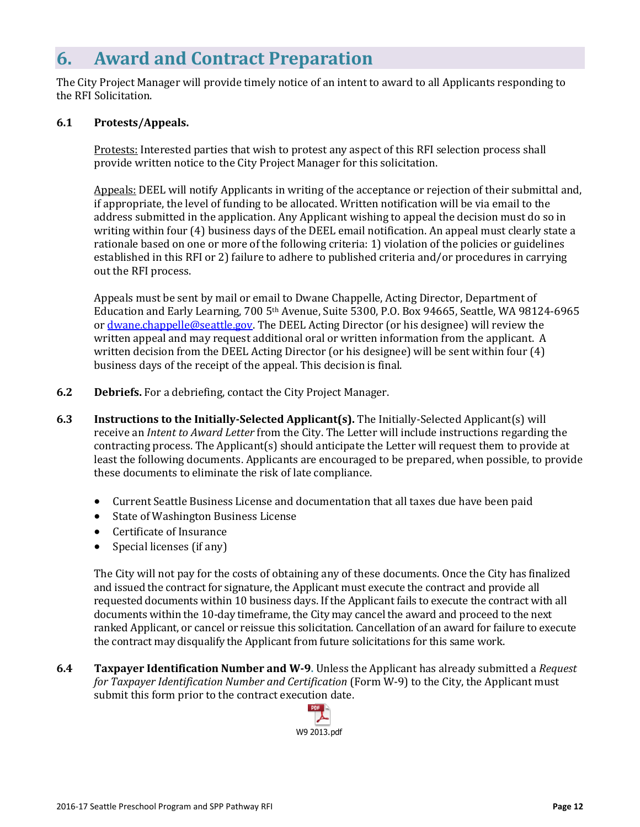## <span id="page-11-0"></span>**6. Award and Contract Preparation**

The City Project Manager will provide timely notice of an intent to award to all Applicants responding to the RFI Solicitation.

#### **6.1 Protests/Appeals.**

Protests: Interested parties that wish to protest any aspect of this RFI selection process shall provide written notice to the City Project Manager for this solicitation.

Appeals: DEEL will notify Applicants in writing of the acceptance or rejection of their submittal and, if appropriate, the level of funding to be allocated. Written notification will be via email to the address submitted in the application. Any Applicant wishing to appeal the decision must do so in writing within four (4) business days of the DEEL email notification. An appeal must clearly state a rationale based on one or more of the following criteria: 1) violation of the policies or guidelines established in this RFI or 2) failure to adhere to published criteria and/or procedures in carrying out the RFI process.

Appeals must be sent by mail or email to Dwane Chappelle, Acting Director, Department of Education and Early Learning,  $7005$ <sup>th</sup> Avenue, Suite 5300, P.O. Box 94665, Seattle, WA 98124-6965 or [dwane.chappelle@seattle.gov.](mailto:holly.miller@seattle.gov) The DEEL Acting Director (or his designee) will review the written appeal and may request additional oral or written information from the applicant. A written decision from the DEEL Acting Director (or his designee) will be sent within four (4) business days of the receipt of the appeal. This decision is final.

- **6.2 Debriefs.** For a debriefing, contact the City Project Manager.
- **6.3 Instructions to the Initially-Selected Applicant(s).** The Initially-Selected Applicant(s) will receive an *Intent to Award Letter* from the City. The Letter will include instructions regarding the contracting process. The Applicant(s) should anticipate the Letter will request them to provide at least the following documents. Applicants are encouraged to be prepared, when possible, to provide these documents to eliminate the risk of late compliance.
	- Current Seattle Business License and documentation that all taxes due have been paid
	- State of Washington Business License
	- Certificate of Insurance
	- Special licenses (if any)

The City will not pay for the costs of obtaining any of these documents. Once the City has finalized and issued the contract for signature, the Applicant must execute the contract and provide all requested documents within 10 business days. If the Applicant fails to execute the contract with all documents within the 10-day timeframe, the City may cancel the award and proceed to the next ranked Applicant, or cancel or reissue this solicitation. Cancellation of an award for failure to execute the contract may disqualify the Applicant from future solicitations for this same work.

**6.4 Taxpayer Identification Number and W-9.** Unless the Applicant has already submitted a *Request for Taxpayer Identification Number and Certification* (Form W-9) to the City, the Applicant must submit this form prior to the contract execution date.

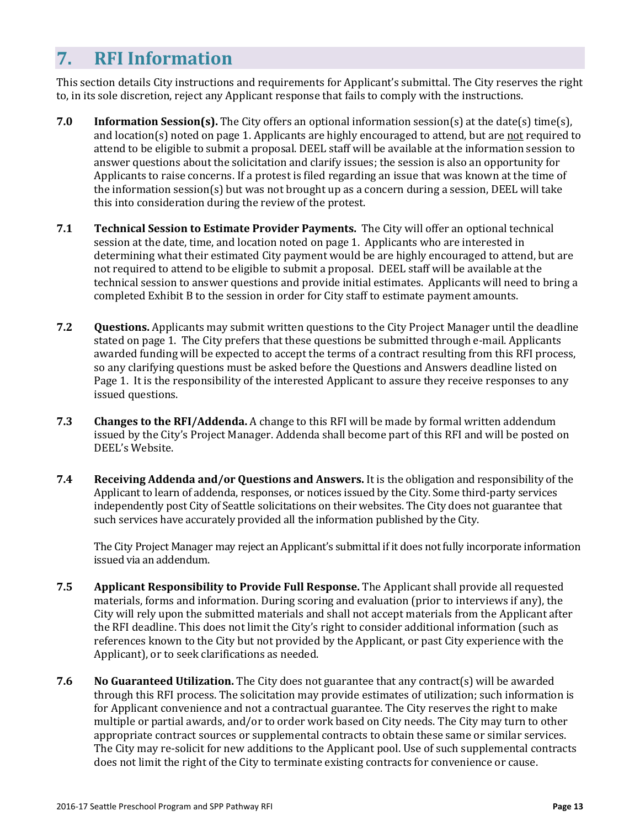## <span id="page-12-0"></span>**7. RFI Information**

This section details City instructions and requirements for Applicant's submittal. The City reserves the right to, in its sole discretion, reject any Applicant response that fails to comply with the instructions.

- **7.0 Information Session(s).** The City offers an optional information session(s) at the date(s) time(s), and location(s) noted on page 1. Applicants are highly encouraged to attend, but are not required to attend to be eligible to submit a proposal. DEEL staff will be available at the information session to answer questions about the solicitation and clarify issues; the session is also an opportunity for Applicants to raise concerns. If a protest is filed regarding an issue that was known at the time of the information session(s) but was not brought up as a concern during a session, DEEL will take this into consideration during the review of the protest.
- **7.1 Technical Session to Estimate Provider Payments.** The City will offer an optional technical session at the date, time, and location noted on page 1. Applicants who are interested in determining what their estimated City payment would be are highly encouraged to attend, but are not required to attend to be eligible to submit a proposal. DEEL staff will be available at the technical session to answer questions and provide initial estimates. Applicants will need to bring a completed Exhibit B to the session in order for City staff to estimate payment amounts.
- **7.2 Questions.** Applicants may submit written questions to the City Project Manager until the deadline stated on page 1. The City prefers that these questions be submitted through e-mail. Applicants awarded funding will be expected to accept the terms of a contract resulting from this RFI process, so any clarifying questions must be asked before the Questions and Answers deadline listed on Page 1. It is the responsibility of the interested Applicant to assure they receive responses to any issued questions.
- **7.3 Changes to the RFI/Addenda.** A change to this RFI will be made by formal written addendum issued by the City's Project Manager. Addenda shall become part of this RFI and will be posted on DEEL's Website.
- **7.4 Receiving Addenda and/or Questions and Answers.** It is the obligation and responsibility of the Applicant to learn of addenda, responses, or notices issued by the City. Some third-party services independently post City of Seattle solicitations on their websites. The City does not guarantee that such services have accurately provided all the information published by the City.

The City Project Manager may reject an Applicant's submittal if it does not fully incorporate information issued via an addendum.

- **7.5 Applicant Responsibility to Provide Full Response.** The Applicant shall provide all requested materials, forms and information. During scoring and evaluation (prior to interviews if any), the City will rely upon the submitted materials and shall not accept materials from the Applicant after the RFI deadline. This does not limit the City's right to consider additional information (such as references known to the City but not provided by the Applicant, or past City experience with the Applicant), or to seek clarifications as needed.
- **7.6 No Guaranteed Utilization.** The City does not guarantee that any contract(s) will be awarded through this RFI process. The solicitation may provide estimates of utilization; such information is for Applicant convenience and not a contractual guarantee. The City reserves the right to make multiple or partial awards, and/or to order work based on City needs. The City may turn to other appropriate contract sources or supplemental contracts to obtain these same or similar services. The City may re-solicit for new additions to the Applicant pool. Use of such supplemental contracts does not limit the right of the City to terminate existing contracts for convenience or cause.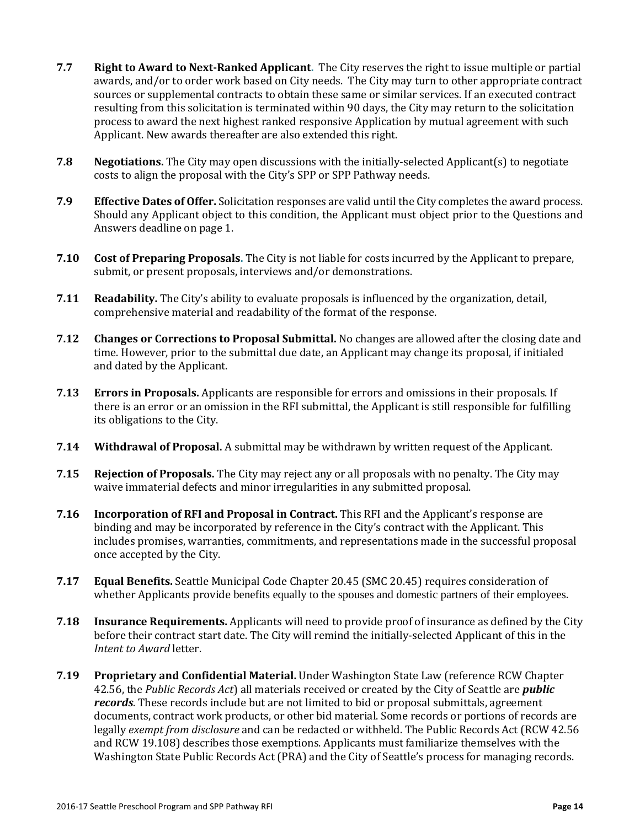- **7.7 Right to Award to Next-Ranked Applicant.** The City reserves the right to issue multiple or partial awards, and/or to order work based on City needs. The City may turn to other appropriate contract sources or supplemental contracts to obtain these same or similar services. If an executed contract resulting from this solicitation is terminated within 90 days, the City may return to the solicitation process to award the next highest ranked responsive Application by mutual agreement with such Applicant. New awards thereafter are also extended this right.
- **7.8 Negotiations.** The City may open discussions with the initially-selected Applicant(s) to negotiate costs to align the proposal with the City's SPP or SPP Pathway needs.
- **7.9 Effective Dates of Offer.** Solicitation responses are valid until the City completes the award process. Should any Applicant object to this condition, the Applicant must object prior to the Questions and Answers deadline on page 1.
- **7.10 Cost of Preparing Proposals.** The City is not liable for costs incurred by the Applicant to prepare, submit, or present proposals, interviews and/or demonstrations.
- **7.11 Readability.** The City's ability to evaluate proposals is influenced by the organization, detail, comprehensive material and readability of the format of the response.
- **7.12 Changes or Corrections to Proposal Submittal.** No changes are allowed after the closing date and time. However, prior to the submittal due date, an Applicant may change its proposal, if initialed and dated by the Applicant.
- **7.13 Errors in Proposals.** Applicants are responsible for errors and omissions in their proposals. If there is an error or an omission in the RFI submittal, the Applicant is still responsible for fulfilling its obligations to the City.
- **7.14 Withdrawal of Proposal.** A submittal may be withdrawn by written request of the Applicant.
- **7.15 Rejection of Proposals.** The City may reject any or all proposals with no penalty. The City may waive immaterial defects and minor irregularities in any submitted proposal.
- **7.16 Incorporation of RFI and Proposal in Contract.** This RFI and the Applicant's response are binding and may be incorporated by reference in the City's contract with the Applicant. This includes promises, warranties, commitments, and representations made in the successful proposal once accepted by the City.
- **7.17 Equal Benefits.** Seattle Municipal Code Chapter 20.45 (SMC 20.45) requires consideration of whether Applicants provide benefits equally to the spouses and domestic partners of their employees.
- **7.18 Insurance Requirements.** Applicants will need to provide proof of insurance as defined by the City before their contract start date. The City will remind the initially-selected Applicant of this in the *Intent to Award* letter.
- **7.19 Proprietary and Confidential Material.** Under Washington State Law (reference RCW Chapter 42.56, the *Public Records Act*) all materials received or created by the City of Seattle are *public records*. These records include but are not limited to bid or proposal submittals, agreement documents, contract work products, or other bid material. Some records or portions of records are legally *exempt from disclosure* and can be redacted or withheld. The Public Records Act (RCW 42.56 and RCW 19.108) describes those exemptions. Applicants must familiarize themselves with the Washington State Public Records Act (PRA) and the City of Seattle's process for managing records.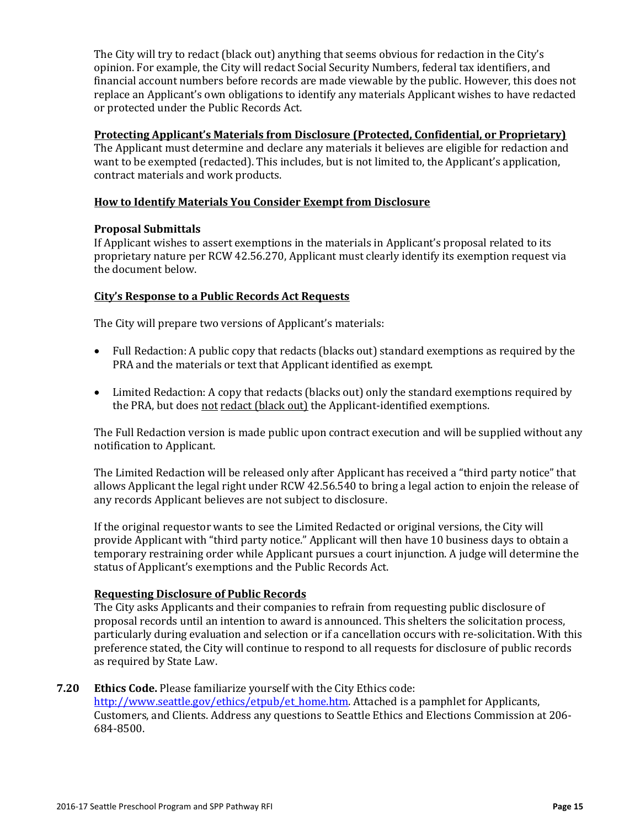The City will try to redact (black out) anything that seems obvious for redaction in the City's opinion. For example, the City will redact Social Security Numbers, federal tax identifiers, and financial account numbers before records are made viewable by the public. However, this does not replace an Applicant's own obligations to identify any materials Applicant wishes to have redacted or protected under the Public Records Act.

#### **Protecting Applicant's Materials from Disclosure (Protected, Confidential, or Proprietary)**

The Applicant must determine and declare any materials it believes are eligible for redaction and want to be exempted (redacted). This includes, but is not limited to, the Applicant's application, contract materials and work products.

#### **How to Identify Materials You Consider Exempt from Disclosure**

#### **Proposal Submittals**

If Applicant wishes to assert exemptions in the materials in Applicant's proposal related to its proprietary nature per RCW 42.56.270, Applicant must clearly identify its exemption request via the document below.

#### **City's Response to a Public Records Act Requests**

The City will prepare two versions of Applicant's materials:

- Full Redaction: A public copy that redacts (blacks out) standard exemptions as required by the PRA and the materials or text that Applicant identified as exempt.
- Limited Redaction: A copy that redacts (blacks out) only the standard exemptions required by the PRA, but does not redact (black out) the Applicant-identified exemptions.

The Full Redaction version is made public upon contract execution and will be supplied without any notification to Applicant.

The Limited Redaction will be released only after Applicant has received a "third party notice" that allows Applicant the legal right under RCW 42.56.540 to bring a legal action to enjoin the release of any records Applicant believes are not subject to disclosure.

If the original requestor wants to see the Limited Redacted or original versions, the City will provide Applicant with "third party notice." Applicant will then have 10 business days to obtain a temporary restraining order while Applicant pursues a court injunction. A judge will determine the status of Applicant's exemptions and the Public Records Act.

#### **Requesting Disclosure of Public Records**

The City asks Applicants and their companies to refrain from requesting public disclosure of proposal records until an intention to award is announced. This shelters the solicitation process, particularly during evaluation and selection or if a cancellation occurs with re-solicitation. With this preference stated, the City will continue to respond to all requests for disclosure of public records as required by State Law.

#### **7.20 Ethics Code.** Please familiarize yourself with the City Ethics code:

[http://www.seattle.gov/ethics/etpub/et\\_home.htm.](http://www.seattle.gov/ethics/etpub/et_home.htm) Attached is a pamphlet for Applicants, Customers, and Clients. Address any questions to Seattle Ethics and Elections Commission at 206- 684-8500.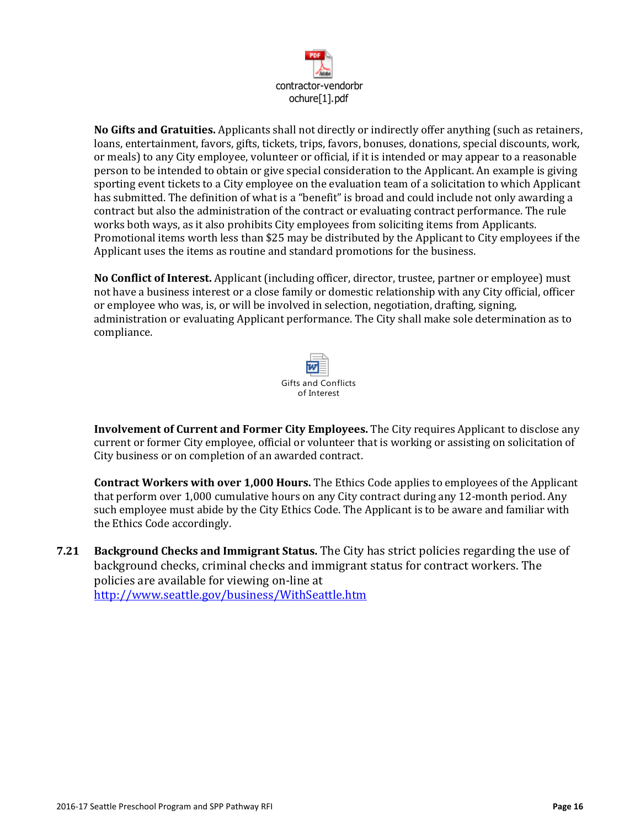

**No Gifts and Gratuities.** Applicants shall not directly or indirectly offer anything (such as retainers, loans, entertainment, favors, gifts, tickets, trips, favors, bonuses, donations, special discounts, work, or meals) to any City employee, volunteer or official, if it is intended or may appear to a reasonable person to be intended to obtain or give special consideration to the Applicant. An example is giving sporting event tickets to a City employee on the evaluation team of a solicitation to which Applicant has submitted. The definition of what is a "benefit" is broad and could include not only awarding a contract but also the administration of the contract or evaluating contract performance. The rule works both ways, as it also prohibits City employees from soliciting items from Applicants. Promotional items worth less than \$25 may be distributed by the Applicant to City employees if the Applicant uses the items as routine and standard promotions for the business.

**No Conflict of Interest.** Applicant (including officer, director, trustee, partner or employee) must not have a business interest or a close family or domestic relationship with any City official, officer or employee who was, is, or will be involved in selection, negotiation, drafting, signing, administration or evaluating Applicant performance. The City shall make sole determination as to compliance.



**Involvement of Current and Former City Employees.** The City requires Applicant to disclose any current or former City employee, official or volunteer that is working or assisting on solicitation of City business or on completion of an awarded contract.

**Contract Workers with over 1,000 Hours.** The Ethics Code applies to employees of the Applicant that perform over 1,000 cumulative hours on any City contract during any 12-month period. Any such employee must abide by the City Ethics Code. The Applicant is to be aware and familiar with the Ethics Code accordingly.

**7.21 Background Checks and Immigrant Status.** The City has strict policies regarding the use of background checks, criminal checks and immigrant status for contract workers. The policies are available for viewing on-line at <http://www.seattle.gov/business/WithSeattle.htm>